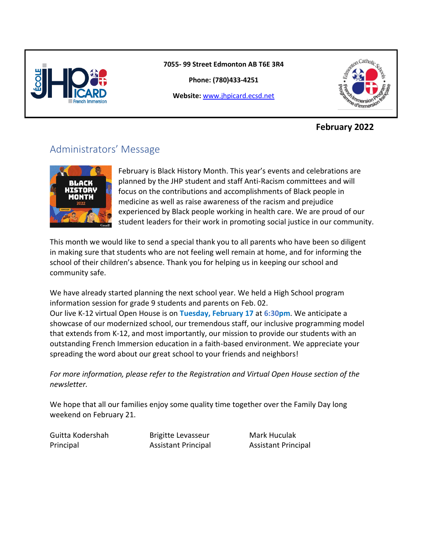

#### **7055- 99 Street Edmonton AB T6E 3R4**

**Phone: (780)433-4251**

**Website:** [www.jhpicard.ecsd.net](http://www.jhpicard.ecsd.net/)



#### **February 2022**

# Administrators' Message



February is Black History Month. This year's events and celebrations are planned by the JHP student and staff Anti-Racism committees and will focus on the contributions and accomplishments of Black people in medicine as well as raise awareness of the racism and prejudice experienced by Black people working in health care. We are proud of our student leaders for their work in promoting social justice in our community.

This month we would like to send a special thank you to all parents who have been so diligent in making sure that students who are not feeling well remain at home, and for informing the school of their children's absence. Thank you for helping us in keeping our school and community safe.

We have already started planning the next school year. We held a High School program information session for grade 9 students and parents on Feb. 02. Our live K-12 virtual Open House is on **Tuesday, February 17** at **6:30pm**. We anticipate a showcase of our modernized school, our tremendous staff, our inclusive programming model that extends from K-12, and most importantly, our mission to provide our students with an outstanding French Immersion education in a faith-based environment. We appreciate your spreading the word about our great school to your friends and neighbors!

*For more information, please refer to the Registration and Virtual Open House section of the newsletter.* 

We hope that all our families enjoy some quality time together over the Family Day long weekend on February 21.

Guitta Kodershah Brigitte Levasseur Mark Huculak

Principal Assistant Principal Assistant Principal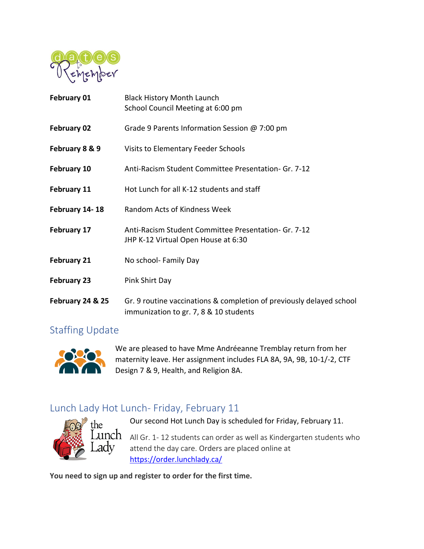

| February 01        | <b>Black History Month Launch</b><br>School Council Meeting at 6:00 pm                                         |
|--------------------|----------------------------------------------------------------------------------------------------------------|
| February 02        | Grade 9 Parents Information Session @ 7:00 pm                                                                  |
| February 8 & 9     | Visits to Elementary Feeder Schools                                                                            |
| February 10        | Anti-Racism Student Committee Presentation- Gr. 7-12                                                           |
| <b>February 11</b> | Hot Lunch for all K-12 students and staff                                                                      |
| February 14-18     | Random Acts of Kindness Week                                                                                   |
| February 17        | Anti-Racism Student Committee Presentation- Gr. 7-12<br>JHP K-12 Virtual Open House at 6:30                    |
| <b>February 21</b> | No school- Family Day                                                                                          |
| <b>February 23</b> | Pink Shirt Day                                                                                                 |
| February 24 & 25   | Gr. 9 routine vaccinations & completion of previously delayed school<br>immunization to gr. 7, 8 & 10 students |

#### Staffing Update



We are pleased to have Mme Andréeanne Tremblay return from her maternity leave. Her assignment includes FLA 8A, 9A, 9B, 10-1/-2, CTF Design 7 & 9, Health, and Religion 8A.

# Lunch Lady Hot Lunch- Friday, February 11



Our second Hot Lunch Day is scheduled for Friday, February 11.  $\mu$ pc ${\rm h}_{\rm A}$  All Gr. 1- 12 students can order as well as Kindergarten students who

attend the day care. Orders are placed online at <https://order.lunchlady.ca/>

**You need to sign up and register to order for the first time.**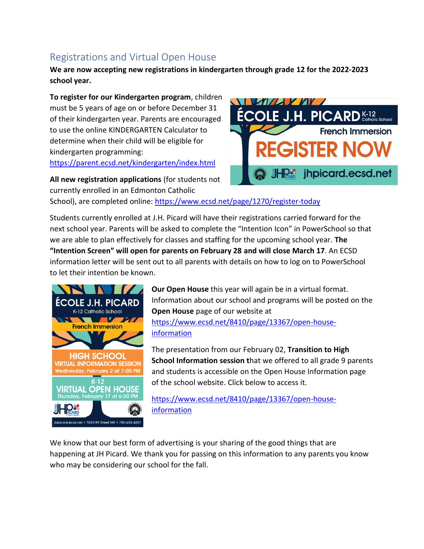# Registrations and Virtual Open House

**We are now accepting new registrations in kindergarten through grade 12 for the 2022-2023 school year.**

**To register for our Kindergarten program**, children must be 5 years of age on or before December 31 of their kindergarten year. Parents are encouraged to use the online KINDERGARTEN Calculator to determine when their child will be eligible for kindergarten programming:

<https://parent.ecsd.net/kindergarten/index.html>

**All new registration applications** (for students not currently enrolled in an Edmonton Catholic

School), are completed online[: https://www.ecsd.net/page/1270/register-today](https://www.ecsd.net/page/1270/register-today)

Students currently enrolled at J.H. Picard will have their registrations carried forward for the next school year. Parents will be asked to complete the "Intention Icon" in PowerSchool so that we are able to plan effectively for classes and staffing for the upcoming school year. **The "Intention Screen" will open for parents on February 28 and will close March 17**. An ECSD information letter will be sent out to all parents with details on how to log on to PowerSchool to let their intention be known.



**Our Open House** this year will again be in a virtual format. Information about our school and programs will be posted on the **Open House** page of our website at [https://www.ecsd.net/8410/page/13367/open-house](https://www.ecsd.net/8410/page/13367/open-house-information)[information](https://www.ecsd.net/8410/page/13367/open-house-information)

The presentation from our February 02, **Transition to High School Information session t**hat we offered to all grade 9 parents and students is accessible on the Open House Information page of the school website. Click below to access it.

[https://www.ecsd.net/8410/page/13367/open-house](https://www.ecsd.net/8410/page/13367/open-house-information)[information](https://www.ecsd.net/8410/page/13367/open-house-information)

We know that our best form of advertising is your sharing of the good things that are happening at JH Picard. We thank you for passing on this information to any parents you know who may be considering our school for the fall.

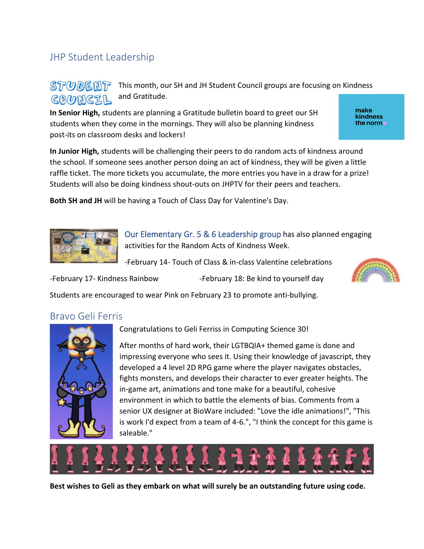### JHP Student Leadership

#### **STUDENT** This month, our SH and JH Student Council groups are focusing on Kindness and Gratitude. COUNCIL

**In Senior High,** students are planning a Gratitude bulletin board to greet our SH students when they come in the mornings. They will also be planning kindness post-its on classroom desks and lockers!

**In Junior High,** students will be challenging their peers to do random acts of kindness around the school. If someone sees another person doing an act of kindness, they will be given a little raffle ticket. The more tickets you accumulate, the more entries you have in a draw for a prize! Students will also be doing kindness shout-outs on JHPTV for their peers and teachers.

**Both SH and JH** will be having a Touch of Class Day for Valentine's Day.



Our Elementary Gr. 5 & 6 Leadership group has also planned engaging activities for the Random Acts of Kindness Week.

-February 14- Touch of Class & in-class Valentine celebrations

-February 17- Kindness Rainbow -February 18: Be kind to yourself day



#### Bravo Geli Ferris



Congratulations to Geli Ferriss in Computing Science 30!

After months of hard work, their LGTBQIA+ themed game is done and impressing everyone who sees it. Using their knowledge of javascript, they developed a 4 level 2D RPG game where the player navigates obstacles, fights monsters, and develops their character to ever greater heights. The in-game art, animations and tone make for a beautiful, cohesive environment in which to battle the elements of bias. Comments from a senior UX designer at BioWare included: "Love the idle animations!", "This is work I'd expect from a team of 4-6.", "I think the concept for this game is saleable."



**Best wishes to Geli as they embark on what will surely be an outstanding future using code.**

make kindness the norm  $\bullet$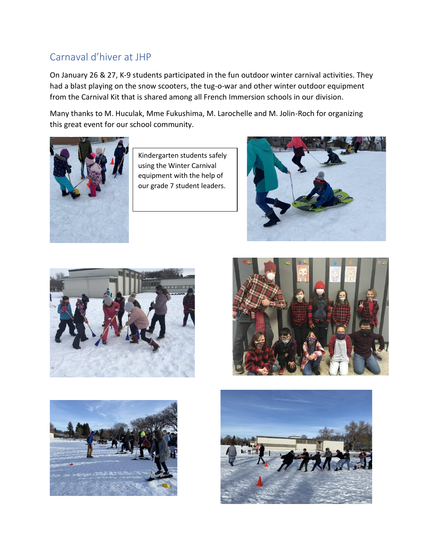# Carnaval d'hiver at JHP

On January 26 & 27, K-9 students participated in the fun outdoor winter carnival activities. They had a blast playing on the snow scooters, the tug-o-war and other winter outdoor equipment from the Carnival Kit that is shared among all French Immersion schools in our division.

Many thanks to M. Huculak, Mme Fukushima, M. Larochelle and M. Jolin-Roch for organizing this great event for our school community.



Kindergarten students safely using the Winter Carnival equipment with the help of our grade 7 student leaders.